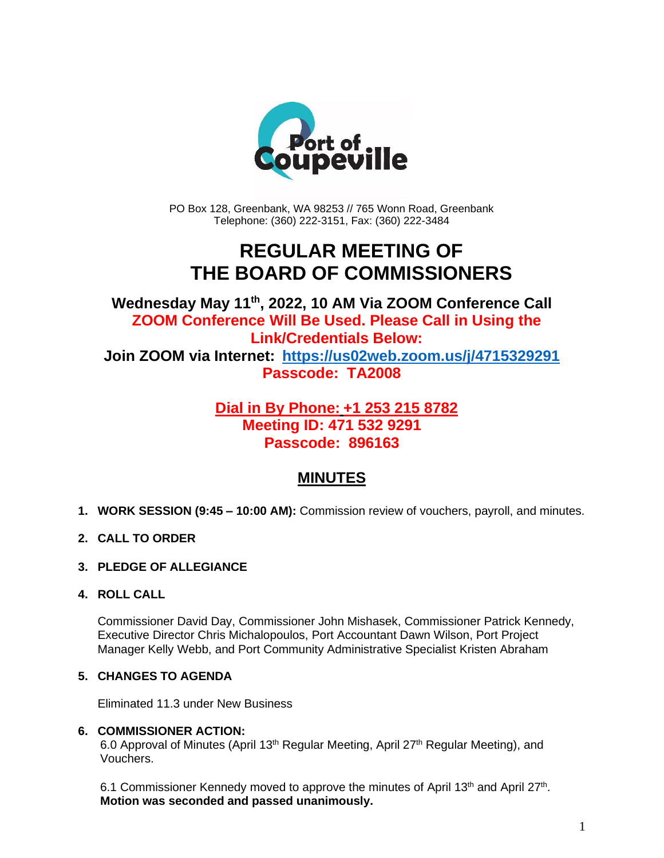

PO Box 128, Greenbank, WA 98253 // 765 Wonn Road, Greenbank Telephone: (360) 222-3151, Fax: (360) 222-3484

# **REGULAR MEETING OF THE BOARD OF COMMISSIONERS**

**Wednesday May 11 th , 2022, 10 AM Via ZOOM Conference Call ZOOM Conference Will Be Used. Please Call in Using the Link/Credentials Below: Join ZOOM via Internet: <https://us02web.zoom.us/j/4715329291> Passcode: TA2008**

# **Dial in By Phone: +1 253 215 8782 Meeting ID: 471 532 9291 Passcode: 896163**

# **MINUTES**

- **1. WORK SESSION (9:45 – 10:00 AM):** Commission review of vouchers, payroll, and minutes.
- **2. CALL TO ORDER**
- **3. PLEDGE OF ALLEGIANCE**
- **4. ROLL CALL**

Commissioner David Day, Commissioner John Mishasek, Commissioner Patrick Kennedy, Executive Director Chris Michalopoulos, Port Accountant Dawn Wilson, Port Project Manager Kelly Webb, and Port Community Administrative Specialist Kristen Abraham

#### **5. CHANGES TO AGENDA**

Eliminated 11.3 under New Business

#### **6. COMMISSIONER ACTION:**

6.0 Approval of Minutes (April 13<sup>th</sup> Regular Meeting, April 27<sup>th</sup> Regular Meeting), and Vouchers.

6.1 Commissioner Kennedy moved to approve the minutes of April 13<sup>th</sup> and April 27<sup>th</sup>. **Motion was seconded and passed unanimously.**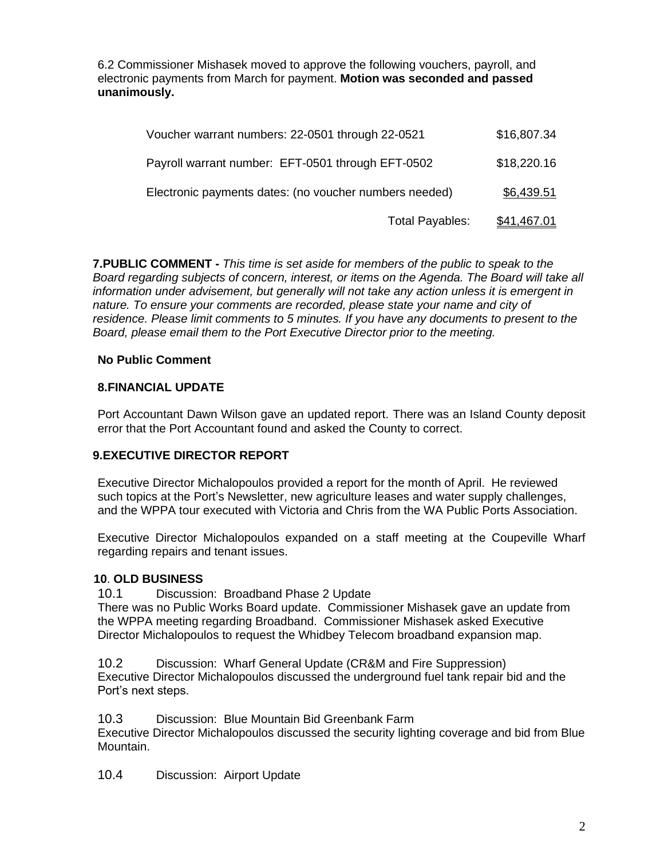6.2 Commissioner Mishasek moved to approve the following vouchers, payroll, and electronic payments from March for payment. **Motion was seconded and passed unanimously.**

| Voucher warrant numbers: 22-0501 through 22-0521       | \$16,807.34        |
|--------------------------------------------------------|--------------------|
| Payroll warrant number: EFT-0501 through EFT-0502      | \$18,220.16        |
| Electronic payments dates: (no voucher numbers needed) | \$6,439.51         |
| <b>Total Payables:</b>                                 | <u>\$41,467.01</u> |

**7.PUBLIC COMMENT -** *This time is set aside for members of the public to speak to the Board regarding subjects of concern, interest, or items on the Agenda. The Board will take all information under advisement, but generally will not take any action unless it is emergent in nature. To ensure your comments are recorded, please state your name and city of residence. Please limit comments to 5 minutes. If you have any documents to present to the Board, please email them to the Port Executive Director prior to the meeting.*

#### **No Public Comment**

#### **8.FINANCIAL UPDATE**

Port Accountant Dawn Wilson gave an updated report. There was an Island County deposit error that the Port Accountant found and asked the County to correct.

#### **9.EXECUTIVE DIRECTOR REPORT**

Executive Director Michalopoulos provided a report for the month of April. He reviewed such topics at the Port's Newsletter, new agriculture leases and water supply challenges, and the WPPA tour executed with Victoria and Chris from the WA Public Ports Association.

Executive Director Michalopoulos expanded on a staff meeting at the Coupeville Wharf regarding repairs and tenant issues.

#### **10**. **OLD BUSINESS**

10.1 Discussion: Broadband Phase 2 Update

There was no Public Works Board update. Commissioner Mishasek gave an update from the WPPA meeting regarding Broadband. Commissioner Mishasek asked Executive Director Michalopoulos to request the Whidbey Telecom broadband expansion map.

10.2 Discussion: Wharf General Update (CR&M and Fire Suppression) Executive Director Michalopoulos discussed the underground fuel tank repair bid and the Port's next steps.

10.3 Discussion: Blue Mountain Bid Greenbank Farm

Executive Director Michalopoulos discussed the security lighting coverage and bid from Blue Mountain.

10.4 Discussion: Airport Update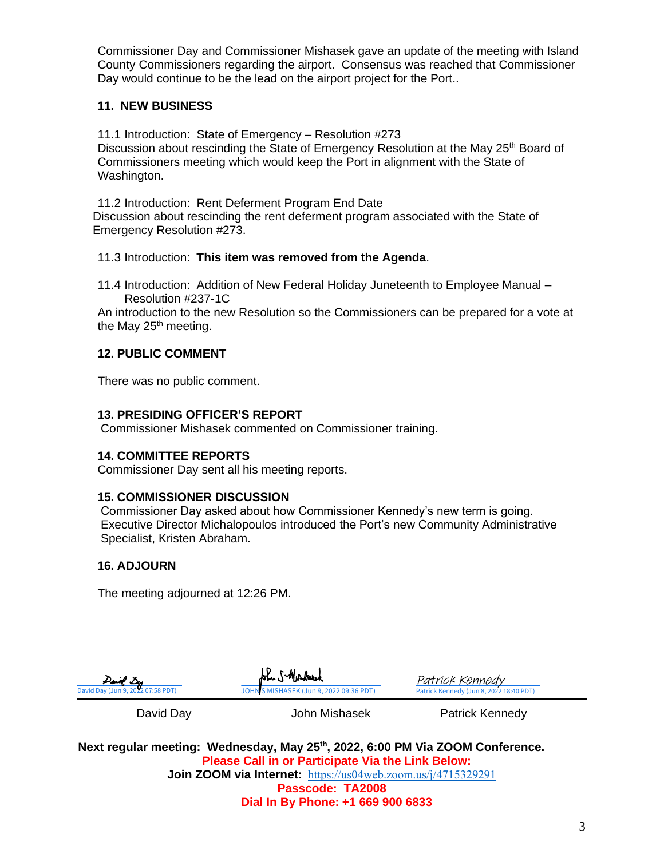Commissioner Day and Commissioner Mishasek gave an update of the meeting with Island County Commissioners regarding the airport. Consensus was reached that Commissioner Day would continue to be the lead on the airport project for the Port..

#### **11. NEW BUSINESS**

11.1 Introduction: State of Emergency – Resolution #273 Discussion about rescinding the State of Emergency Resolution at the May 25<sup>th</sup> Board of Commissioners meeting which would keep the Port in alignment with the State of Washington.

11.2 Introduction: Rent Deferment Program End Date Discussion about rescinding the rent deferment program associated with the State of Emergency Resolution #273.

#### 11.3 Introduction: **This item was removed from the Agenda**.

11.4 Introduction: Addition of New Federal Holiday Juneteenth to Employee Manual – Resolution #237-1C

An introduction to the new Resolution so the Commissioners can be prepared for a vote at the May 25<sup>th</sup> meeting.

# **12. PUBLIC COMMENT**

There was no public comment.

# **13. PRESIDING OFFICER'S REPORT**

Commissioner Mishasek commented on Commissioner training.

# **14. COMMITTEE REPORTS**

Commissioner Day sent all his meeting reports.

#### **15. COMMISSIONER DISCUSSION**

Commissioner Day asked about how Commissioner Kennedy's new term is going. Executive Director Michalopoulos introduced the Port's new Community Administrative Specialist, Kristen Abraham.

# **16. ADJOURN**

The meeting adjourned at 12:26 PM.

| David Des                         | John S-Mordmerk                         |
|-----------------------------------|-----------------------------------------|
| David Day (Jun 9, 2022 07:58 PDT) | JOHN S MISHASEK (Jun 9, 2022 09:36 PDT) |
|                                   |                                         |

Patrick Kennedy (Jun 8, 2022 18:40 PDT) [Patrick Kennedy](https://na3.documents.adobe.com/verifier?tx=CBJCHBCAABAAJ2pn4_f4i_uuALXKZ1uFQxzmuccB17ZD)

David Day **David Day** John Mishasek **Patrick Kennedy** 

**Next regular meeting: Wednesday, May 25th, 2022, 6:00 PM Via ZOOM Conference. Please Call in or Participate Via the Link Below: Join ZOOM via Internet:** <https://us04web.zoom.us/j/4715329291> **Passcode: TA2008**

**Dial In By Phone: +1 669 900 6833**